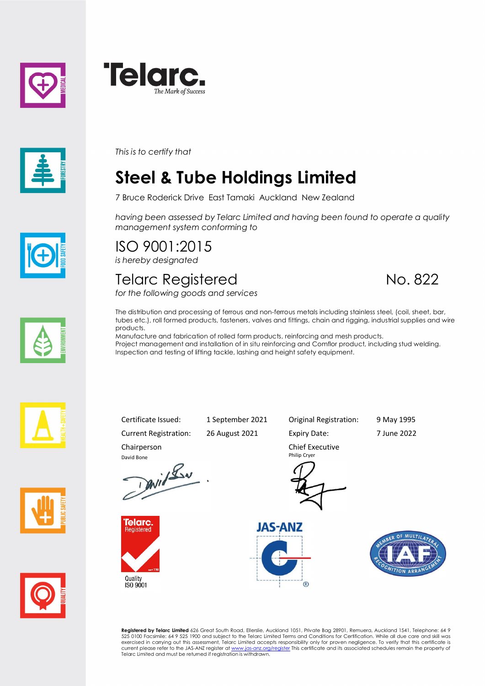





*This is to certify that*

# **Steel & Tube Holdings Limited**

7 Bruce Roderick Drive East Tamaki Auckland New Zealand

*having been assessed by Telarc Limited and having been found to operate a quality management system conforming to*

# ISO 9001:2015

*is hereby designated*

#### Telarc Registered No. 822

*for the following goods and services*



The distribution and processing of ferrous and non-ferrous metals including stainless steel, (coil, sheet, bar, tubes etc.), roll formed products, fasteners, valves and fittings, chain and rigging, industrial supplies and wire products.

Manufacture and fabrication of rolled form products, reinforcing and mesh products. Project management and installation of in situ reinforcing and Comflor product, including stud welding. Inspection and testing of lifting tackle, lashing and height safety equipment.







Certificate Issued: 1 September 2021 Original Registration: 9 May 1995

Current Registration: 26 August 2021 Expiry Date: 7 June 2022

Chairperson

David Bone<br>David Lav



Quality<br>ISO 9001



Chief Executive Philip Cryer





**Registered by Telarc Limited** 626 Great South Road, Ellerslie, Auckland 1051, Private Bag 28901, Remuera, Auckland 1541, Telephone: 64 9<br>525 0100 Facsimile: 64 9 525 1900 and subject to the Telarc Limited Terms and Condit Telarc Limited and must be returned if registration is withdrawn.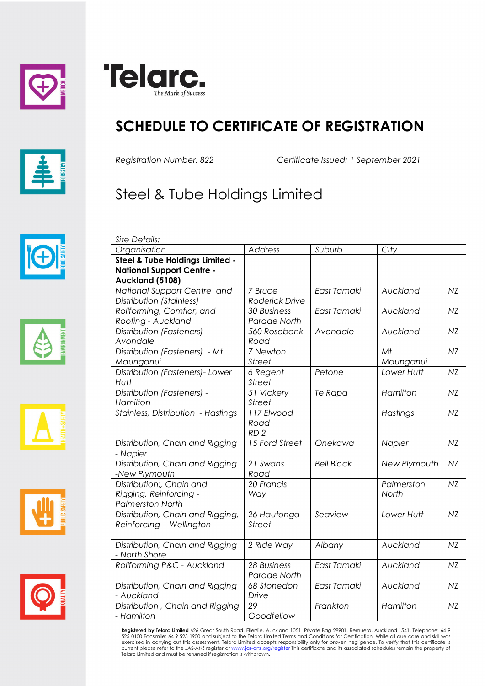





## **SCHEDULE TO CERTIFICATE OF REGISTRATION**

*Site Details:*

*Registration Number: 822 Certificate Issued: 1 September 2021*

## Steel & Tube Holdings Limited











| Organisation                       | Address                     | Suburb            | City         |    |
|------------------------------------|-----------------------------|-------------------|--------------|----|
| Steel & Tube Holdings Limited -    |                             |                   |              |    |
| <b>National Support Centre -</b>   |                             |                   |              |    |
| Auckland (5108)                    |                             |                   |              |    |
| National Support Centre and        | 7 Bruce                     | East Tamaki       | Auckland     | NZ |
| Distribution (Stainless)           | Roderick Drive              |                   |              |    |
| Rollforming, Comflor, and          | <b>30 Business</b>          | East Tamaki       | Auckland     | NZ |
| Roofing - Auckland                 | Parade North                |                   |              |    |
| Distribution (Fasteners) -         | 560 Rosebank                | Avondale          | Auckland     | NZ |
| Avondale                           | Road                        |                   |              |    |
| Distribution (Fasteners) - Mt      | 7 Newton                    |                   | Mt           | NZ |
| Maunganui                          | <b>Street</b>               |                   | Maunganui    |    |
| Distribution (Fasteners)- Lower    | 6 Regent                    | Petone            | Lower Hutt   | NZ |
| Hutt                               | <b>Street</b>               |                   |              |    |
| Distribution (Fasteners) -         | 51 Vickery                  | Te Rapa           | Hamilton     | NZ |
| Hamilton                           | <b>Street</b>               |                   |              |    |
| Stainless, Distribution - Hastings | 117 Elwood                  |                   | Hastings     | NZ |
|                                    | Road                        |                   |              |    |
|                                    | RD <sub>2</sub>             |                   |              |    |
| Distribution, Chain and Rigging    | 15 Ford Street              | Onekawa           | Napier       | NZ |
| - Napier                           |                             |                   |              |    |
| Distribution, Chain and Rigging    | 21 Swans                    | <b>Bell Block</b> | New Plymouth | NZ |
| -New Plymouth                      | Road                        |                   |              |    |
| Distribution:, Chain and           | 20 Francis                  |                   | Palmerston   | NZ |
| Rigging, Reinforcing -             | Way                         |                   | North        |    |
| <b>Palmerston North</b>            |                             |                   |              |    |
| Distribution, Chain and Rigging,   | 26 Hautonga                 | Seaview           | Lower Hutt   | NZ |
| Reinforcing - Wellington           | <b>Street</b>               |                   |              |    |
|                                    |                             |                   |              |    |
| Distribution, Chain and Rigging    | 2 Ride Way                  | Albany            | Auckland     | NZ |
| - North Shore                      |                             |                   |              |    |
| Rollforming P&C - Auckland         | 28 Business<br>Parade North | East Tamaki       | Auckland     | NZ |
| Distribution, Chain and Rigging    | 68 Stonedon                 | East Tamaki       | Auckland     | NZ |
| - Auckland                         | Drive                       |                   |              |    |
| Distribution, Chain and Rigging    | 29                          | Frankton          | Hamilton     | NZ |
| - Hamilton                         | Goodfellow                  |                   |              |    |

**Registered by Telarc Limited** 626 Great South Road, Ellerslie, Auckland 1051, Private Bag 28901, Remuera, Auckland 1541, Telephone: 64 9<br>525 0100 Facsimile: 64 9 525 1900 and subject to the Telarc Limited Terms and Condit